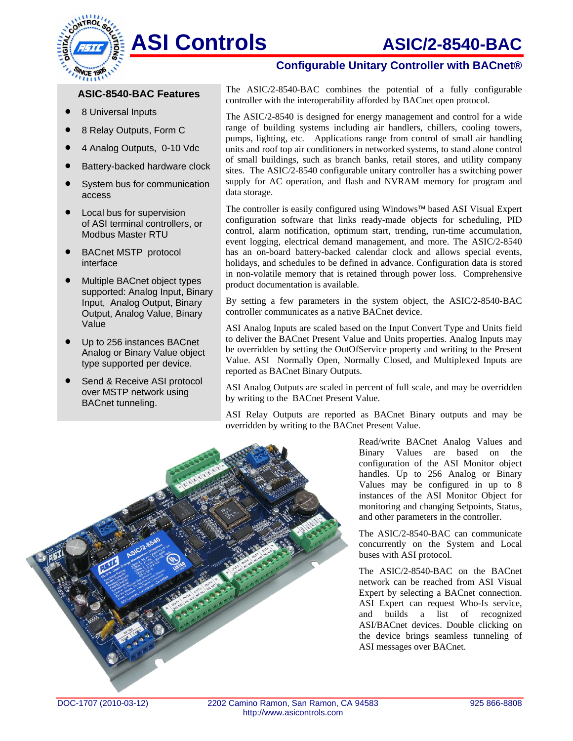# ASI Controls **ASIC/2-8540-BAC**



- 8 Universal Inputs
- 8 Relay Outputs, Form C
- 4 Analog Outputs, 0-10 Vdc
- Battery-backed hardware clock
- System bus for communication access
- Local bus for supervision of ASI terminal controllers, or Modbus Master RTU
- BACnet MSTP protocol interface
- Multiple BACnet object types supported: Analog Input, Binary Input, Analog Output, Binary Output, Analog Value, Binary Value
- Up to 256 instances BACnet Analog or Binary Value object type supported per device.
- Send & Receive ASI protocol over MSTP network using BACnet tunneling.

### **Configurable Unitary Controller with BACnet®**

The ASIC/2-8540-BAC combines the potential of a fully configurable **ASIC-8540-BAC Features** The ASIC/2-8540-BAC combines the potential of a fully controller with the interoperability afforded by BACnet open protocol.

> The ASIC/2-8540 is designed for energy management and control for a wide range of building systems including air handlers, chillers, cooling towers, pumps, lighting, etc. Applications range from control of small air handling units and roof top air conditioners in networked systems, to stand alone control of small buildings, such as branch banks, retail stores, and utility company sites. The ASIC/2-8540 configurable unitary controller has a switching power supply for AC operation, and flash and NVRAM memory for program and data storage.

> The controller is easily configured using Windows™ based ASI Visual Expert configuration software that links ready-made objects for scheduling, PID control, alarm notification, optimum start, trending, run-time accumulation, event logging, electrical demand management, and more. The ASIC/2-8540 has an on-board battery-backed calendar clock and allows special events, holidays, and schedules to be defined in advance. Configuration data is stored in non-volatile memory that is retained through power loss. Comprehensive product documentation is available.

> By setting a few parameters in the system object, the ASIC/2-8540-BAC controller communicates as a native BACnet device.

> ASI Analog Inputs are scaled based on the Input Convert Type and Units field to deliver the BACnet Present Value and Units properties. Analog Inputs may be overridden by setting the OutOfService property and writing to the Present Value. ASI Normally Open, Normally Closed, and Multiplexed Inputs are reported as BACnet Binary Outputs.

> ASI Analog Outputs are scaled in percent of full scale, and may be overridden by writing to the BACnet Present Value.

> ASI Relay Outputs are reported as BACnet Binary outputs and may be overridden by writing to the BACnet Present Value.



Read/write BACnet Analog Values and Binary Values are based on the configuration of the ASI Monitor object handles. Up to 256 Analog or Binary Values may be configured in up to 8 instances of the ASI Monitor Object for monitoring and changing Setpoints, Status, and other parameters in the controller.

buses with ASI protocol. The ASIC/2-8540-BAC can communicate concurrently on the System and Local

ASI messages over BACnet. The ASIC/2-8540-BAC on the BACnet network can be reached from ASI Visual Expert by selecting a BACnet connection. ASI Expert can request Who-Is service, and builds a list of recognized ASI/BACnet devices. Double clicking on the device brings seamless tunneling of